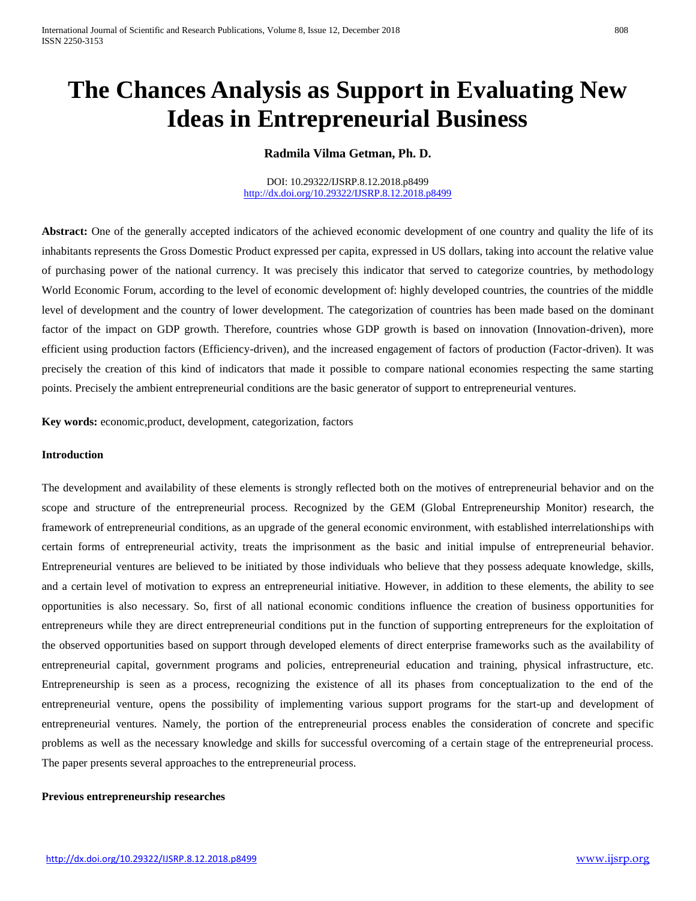# **The Chances Analysis as Support in Evaluating New Ideas in Entrepreneurial Business**

**Radmila Vilma Getman, Ph. D.**

DOI: 10.29322/IJSRP.8.12.2018.p8499 <http://dx.doi.org/10.29322/IJSRP.8.12.2018.p8499>

Abstract: One of the generally accepted indicators of the achieved economic development of one country and quality the life of its inhabitants represents the Gross Domestic Product expressed per capita, expressed in US dollars, taking into account the relative value of purchasing power of the national currency. It was precisely this indicator that served to categorize countries, by methodology World Economic Forum, according to the level of economic development of: highly developed countries, the countries of the middle level of development and the country of lower development. The categorization of countries has been made based on the dominant factor of the impact on GDP growth. Therefore, countries whose GDP growth is based on innovation (Innovation-driven), more efficient using production factors (Efficiency-driven), and the increased engagement of factors of production (Factor-driven). It was precisely the creation of this kind of indicators that made it possible to compare national economies respecting the same starting points. Precisely the ambient entrepreneurial conditions are the basic generator of support to entrepreneurial ventures.

**Key words:** economic,product, development, categorization, factors

# **Introduction**

The development and availability of these elements is strongly reflected both on the motives of entrepreneurial behavior and on the scope and structure of the entrepreneurial process. Recognized by the GEM (Global Entrepreneurship Monitor) research, the framework of entrepreneurial conditions, as an upgrade of the general economic environment, with established interrelationships with certain forms of entrepreneurial activity, treats the imprisonment as the basic and initial impulse of entrepreneurial behavior. Entrepreneurial ventures are believed to be initiated by those individuals who believe that they possess adequate knowledge, skills, and a certain level of motivation to express an entrepreneurial initiative. However, in addition to these elements, the ability to see opportunities is also necessary. So, first of all national economic conditions influence the creation of business opportunities for entrepreneurs while they are direct entrepreneurial conditions put in the function of supporting entrepreneurs for the exploitation of the observed opportunities based on support through developed elements of direct enterprise frameworks such as the availability of entrepreneurial capital, government programs and policies, entrepreneurial education and training, physical infrastructure, etc. Entrepreneurship is seen as a process, recognizing the existence of all its phases from conceptualization to the end of the entrepreneurial venture, opens the possibility of implementing various support programs for the start-up and development of entrepreneurial ventures. Namely, the portion of the entrepreneurial process enables the consideration of concrete and specific problems as well as the necessary knowledge and skills for successful overcoming of a certain stage of the entrepreneurial process. The paper presents several approaches to the entrepreneurial process.

### **Previous entrepreneurship researches**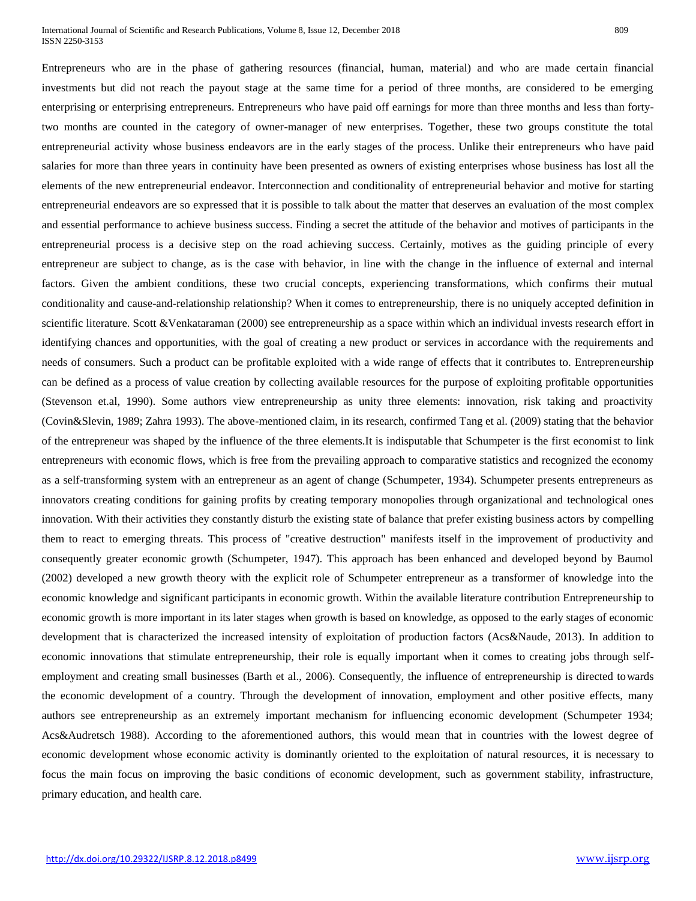Entrepreneurs who are in the phase of gathering resources (financial, human, material) and who are made certain financial investments but did not reach the payout stage at the same time for a period of three months, are considered to be emerging enterprising or enterprising entrepreneurs. Entrepreneurs who have paid off earnings for more than three months and less than fortytwo months are counted in the category of owner-manager of new enterprises. Together, these two groups constitute the total entrepreneurial activity whose business endeavors are in the early stages of the process. Unlike their entrepreneurs who have paid salaries for more than three years in continuity have been presented as owners of existing enterprises whose business has lost all the elements of the new entrepreneurial endeavor. Interconnection and conditionality of entrepreneurial behavior and motive for starting entrepreneurial endeavors are so expressed that it is possible to talk about the matter that deserves an evaluation of the most complex and essential performance to achieve business success. Finding a secret the attitude of the behavior and motives of participants in the entrepreneurial process is a decisive step on the road achieving success. Certainly, motives as the guiding principle of every entrepreneur are subject to change, as is the case with behavior, in line with the change in the influence of external and internal factors. Given the ambient conditions, these two crucial concepts, experiencing transformations, which confirms their mutual conditionality and cause-and-relationship relationship? When it comes to entrepreneurship, there is no uniquely accepted definition in scientific literature. Scott &Venkataraman (2000) see entrepreneurship as a space within which an individual invests research effort in identifying chances and opportunities, with the goal of creating a new product or services in accordance with the requirements and needs of consumers. Such a product can be profitable exploited with a wide range of effects that it contributes to. Entrepreneurship can be defined as a process of value creation by collecting available resources for the purpose of exploiting profitable opportunities (Stevenson et.al, 1990). Some authors view entrepreneurship as unity three elements: innovation, risk taking and proactivity (Covin&Slevin, 1989; Zahra 1993). The above-mentioned claim, in its research, confirmed Tang et al. (2009) stating that the behavior of the entrepreneur was shaped by the influence of the three elements.It is indisputable that Schumpeter is the first economist to link entrepreneurs with economic flows, which is free from the prevailing approach to comparative statistics and recognized the economy as a self-transforming system with an entrepreneur as an agent of change (Schumpeter, 1934). Schumpeter presents entrepreneurs as innovators creating conditions for gaining profits by creating temporary monopolies through organizational and technological ones innovation. With their activities they constantly disturb the existing state of balance that prefer existing business actors by compelling them to react to emerging threats. This process of "creative destruction" manifests itself in the improvement of productivity and consequently greater economic growth (Schumpeter, 1947). This approach has been enhanced and developed beyond by Baumol (2002) developed a new growth theory with the explicit role of Schumpeter entrepreneur as a transformer of knowledge into the economic knowledge and significant participants in economic growth. Within the available literature contribution Entrepreneurship to economic growth is more important in its later stages when growth is based on knowledge, as opposed to the early stages of economic development that is characterized the increased intensity of exploitation of production factors (Acs&Naude, 2013). In addition to economic innovations that stimulate entrepreneurship, their role is equally important when it comes to creating jobs through selfemployment and creating small businesses (Barth et al., 2006). Consequently, the influence of entrepreneurship is directed towards the economic development of a country. Through the development of innovation, employment and other positive effects, many authors see entrepreneurship as an extremely important mechanism for influencing economic development (Schumpeter 1934; Acs&Audretsch 1988). According to the aforementioned authors, this would mean that in countries with the lowest degree of economic development whose economic activity is dominantly oriented to the exploitation of natural resources, it is necessary to focus the main focus on improving the basic conditions of economic development, such as government stability, infrastructure, primary education, and health care.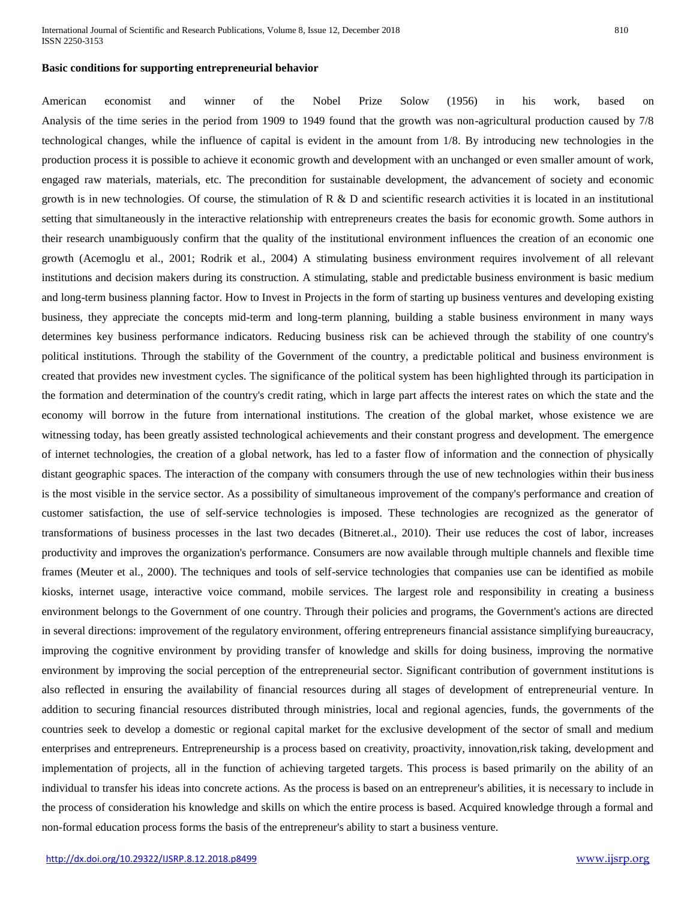#### **Basic conditions for supporting entrepreneurial behavior**

American economist and winner of the Nobel Prize Solow (1956) in his work, based on Analysis of the time series in the period from 1909 to 1949 found that the growth was non-agricultural production caused by 7/8 technological changes, while the influence of capital is evident in the amount from 1/8. By introducing new technologies in the production process it is possible to achieve it economic growth and development with an unchanged or even smaller amount of work, engaged raw materials, materials, etc. The precondition for sustainable development, the advancement of society and economic growth is in new technologies. Of course, the stimulation of  $R \& D$  and scientific research activities it is located in an institutional setting that simultaneously in the interactive relationship with entrepreneurs creates the basis for economic growth. Some authors in their research unambiguously confirm that the quality of the institutional environment influences the creation of an economic one growth (Acemoglu et al., 2001; Rodrik et al., 2004) A stimulating business environment requires involvement of all relevant institutions and decision makers during its construction. A stimulating, stable and predictable business environment is basic medium and long-term business planning factor. How to Invest in Projects in the form of starting up business ventures and developing existing business, they appreciate the concepts mid-term and long-term planning, building a stable business environment in many ways determines key business performance indicators. Reducing business risk can be achieved through the stability of one country's political institutions. Through the stability of the Government of the country, a predictable political and business environment is created that provides new investment cycles. The significance of the political system has been highlighted through its participation in the formation and determination of the country's credit rating, which in large part affects the interest rates on which the state and the economy will borrow in the future from international institutions. The creation of the global market, whose existence we are witnessing today, has been greatly assisted technological achievements and their constant progress and development. The emergence of internet technologies, the creation of a global network, has led to a faster flow of information and the connection of physically distant geographic spaces. The interaction of the company with consumers through the use of new technologies within their business is the most visible in the service sector. As a possibility of simultaneous improvement of the company's performance and creation of customer satisfaction, the use of self-service technologies is imposed. These technologies are recognized as the generator of transformations of business processes in the last two decades (Bitneret.al., 2010). Their use reduces the cost of labor, increases productivity and improves the organization's performance. Consumers are now available through multiple channels and flexible time frames (Meuter et al., 2000). The techniques and tools of self-service technologies that companies use can be identified as mobile kiosks, internet usage, interactive voice command, mobile services. The largest role and responsibility in creating a business environment belongs to the Government of one country. Through their policies and programs, the Government's actions are directed in several directions: improvement of the regulatory environment, offering entrepreneurs financial assistance simplifying bureaucracy, improving the cognitive environment by providing transfer of knowledge and skills for doing business, improving the normative environment by improving the social perception of the entrepreneurial sector. Significant contribution of government institutions is also reflected in ensuring the availability of financial resources during all stages of development of entrepreneurial venture. In addition to securing financial resources distributed through ministries, local and regional agencies, funds, the governments of the countries seek to develop a domestic or regional capital market for the exclusive development of the sector of small and medium enterprises and entrepreneurs. Entrepreneurship is a process based on creativity, proactivity, innovation,risk taking, development and implementation of projects, all in the function of achieving targeted targets. This process is based primarily on the ability of an individual to transfer his ideas into concrete actions. As the process is based on an entrepreneur's abilities, it is necessary to include in the process of consideration his knowledge and skills on which the entire process is based. Acquired knowledge through a formal and non-formal education process forms the basis of the entrepreneur's ability to start a business venture.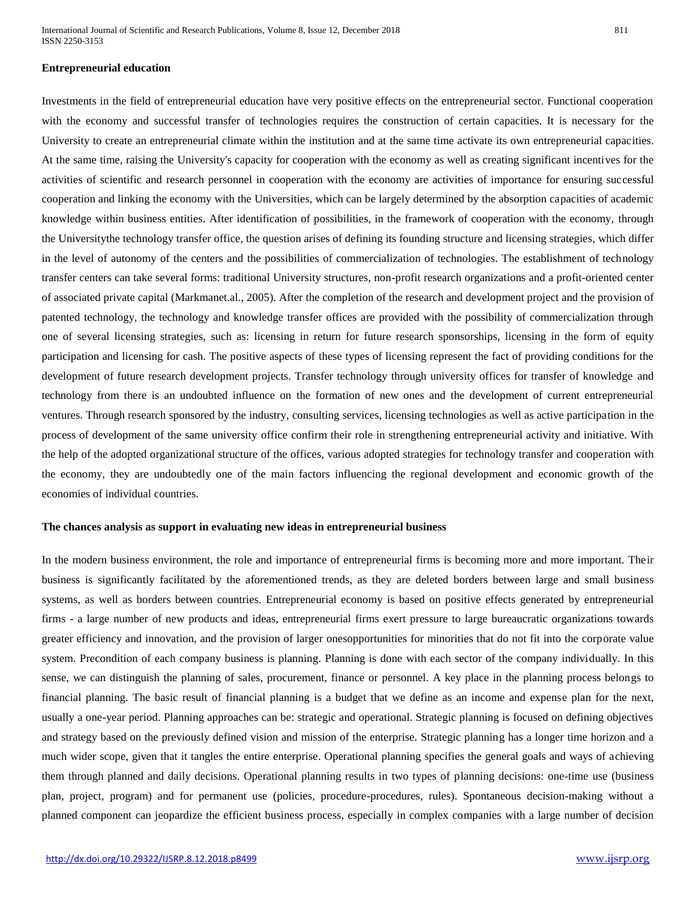#### **Entrepreneurial education**

Investments in the field of entrepreneurial education have very positive effects on the entrepreneurial sector. Functional cooperation with the economy and successful transfer of technologies requires the construction of certain capacities. It is necessary for the University to create an entrepreneurial climate within the institution and at the same time activate its own entrepreneurial capacities. At the same time, raising the University's capacity for cooperation with the economy as well as creating significant incentives for the activities of scientific and research personnel in cooperation with the economy are activities of importance for ensuring successful cooperation and linking the economy with the Universities, which can be largely determined by the absorption capacities of academic knowledge within business entities. After identification of possibilities, in the framework of cooperation with the economy, through the Universitythe technology transfer office, the question arises of defining its founding structure and licensing strategies, which differ in the level of autonomy of the centers and the possibilities of commercialization of technologies. The establishment of technology transfer centers can take several forms: traditional University structures, non-profit research organizations and a profit-oriented center of associated private capital (Markmanet.al., 2005). After the completion of the research and development project and the provision of patented technology, the technology and knowledge transfer offices are provided with the possibility of commercialization through one of several licensing strategies, such as: licensing in return for future research sponsorships, licensing in the form of equity participation and licensing for cash. The positive aspects of these types of licensing represent the fact of providing conditions for the development of future research development projects. Transfer technology through university offices for transfer of knowledge and technology from there is an undoubted influence on the formation of new ones and the development of current entrepreneurial ventures. Through research sponsored by the industry, consulting services, licensing technologies as well as active participation in the process of development of the same university office confirm their role in strengthening entrepreneurial activity and initiative. With the help of the adopted organizational structure of the offices, various adopted strategies for technology transfer and cooperation with the economy, they are undoubtedly one of the main factors influencing the regional development and economic growth of the economies of individual countries.

#### **The chances analysis as support in evaluating new ideas in entrepreneurial business**

In the modern business environment, the role and importance of entrepreneurial firms is becoming more and more important. Their business is significantly facilitated by the aforementioned trends, as they are deleted borders between large and small business systems, as well as borders between countries. Entrepreneurial economy is based on positive effects generated by entrepreneurial firms - a large number of new products and ideas, entrepreneurial firms exert pressure to large bureaucratic organizations towards greater efficiency and innovation, and the provision of larger onesopportunities for minorities that do not fit into the corporate value system. Precondition of each company business is planning. Planning is done with each sector of the company individually. In this sense, we can distinguish the planning of sales, procurement, finance or personnel. A key place in the planning process belongs to financial planning. The basic result of financial planning is a budget that we define as an income and expense plan for the next, usually a one-year period. Planning approaches can be: strategic and operational. Strategic planning is focused on defining objectives and strategy based on the previously defined vision and mission of the enterprise. Strategic planning has a longer time horizon and a much wider scope, given that it tangles the entire enterprise. Operational planning specifies the general goals and ways of achieving them through planned and daily decisions. Operational planning results in two types of planning decisions: one-time use (business plan, project, program) and for permanent use (policies, procedure-procedures, rules). Spontaneous decision-making without a planned component can jeopardize the efficient business process, especially in complex companies with a large number of decision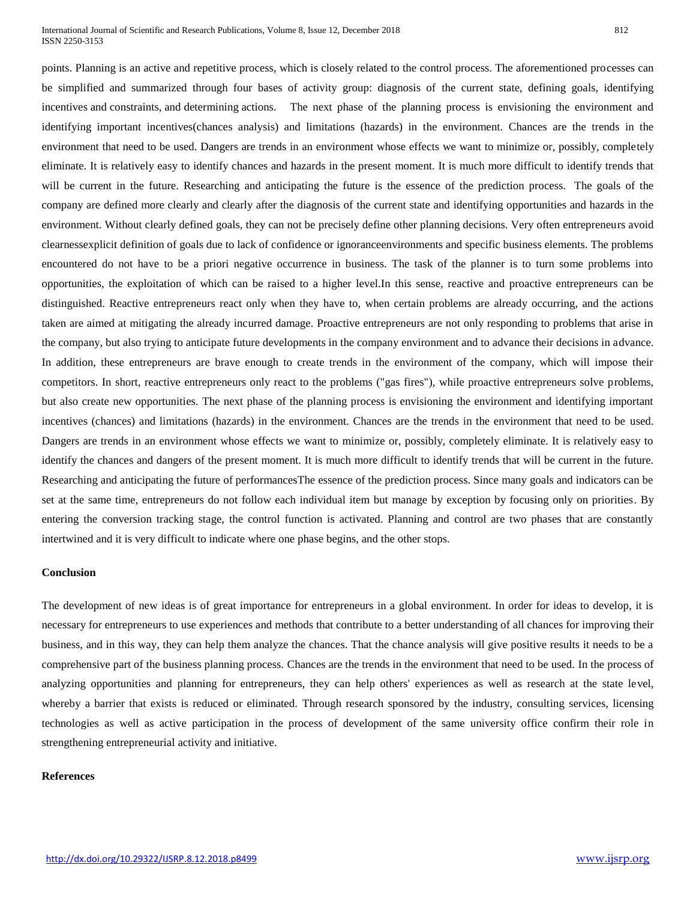International Journal of Scientific and Research Publications, Volume 8, Issue 12, December 2018 812 ISSN 2250-3153

points. Planning is an active and repetitive process, which is closely related to the control process. The aforementioned processes can be simplified and summarized through four bases of activity group: diagnosis of the current state, defining goals, identifying incentives and constraints, and determining actions. The next phase of the planning process is envisioning the environment and identifying important incentives(chances analysis) and limitations (hazards) in the environment. Chances are the trends in the environment that need to be used. Dangers are trends in an environment whose effects we want to minimize or, possibly, completely eliminate. It is relatively easy to identify chances and hazards in the present moment. It is much more difficult to identify trends that will be current in the future. Researching and anticipating the future is the essence of the prediction process. The goals of the company are defined more clearly and clearly after the diagnosis of the current state and identifying opportunities and hazards in the environment. Without clearly defined goals, they can not be precisely define other planning decisions. Very often entrepreneurs avoid clearnessexplicit definition of goals due to lack of confidence or ignoranceenvironments and specific business elements. The problems encountered do not have to be a priori negative occurrence in business. The task of the planner is to turn some problems into opportunities, the exploitation of which can be raised to a higher level.In this sense, reactive and proactive entrepreneurs can be distinguished. Reactive entrepreneurs react only when they have to, when certain problems are already occurring, and the actions taken are aimed at mitigating the already incurred damage. Proactive entrepreneurs are not only responding to problems that arise in the company, but also trying to anticipate future developments in the company environment and to advance their decisions in advance. In addition, these entrepreneurs are brave enough to create trends in the environment of the company, which will impose their competitors. In short, reactive entrepreneurs only react to the problems ("gas fires"), while proactive entrepreneurs solve problems, but also create new opportunities. The next phase of the planning process is envisioning the environment and identifying important incentives (chances) and limitations (hazards) in the environment. Chances are the trends in the environment that need to be used. Dangers are trends in an environment whose effects we want to minimize or, possibly, completely eliminate. It is relatively easy to identify the chances and dangers of the present moment. It is much more difficult to identify trends that will be current in the future. Researching and anticipating the future of performancesThe essence of the prediction process. Since many goals and indicators can be set at the same time, entrepreneurs do not follow each individual item but manage by exception by focusing only on priorities. By entering the conversion tracking stage, the control function is activated. Planning and control are two phases that are constantly intertwined and it is very difficult to indicate where one phase begins, and the other stops.

#### **Conclusion**

The development of new ideas is of great importance for entrepreneurs in a global environment. In order for ideas to develop, it is necessary for entrepreneurs to use experiences and methods that contribute to a better understanding of all chances for improving their business, and in this way, they can help them analyze the chances. That the chance analysis will give positive results it needs to be a comprehensive part of the business planning process. Chances are the trends in the environment that need to be used. In the process of analyzing opportunities and planning for entrepreneurs, they can help others' experiences as well as research at the state level, whereby a barrier that exists is reduced or eliminated. Through research sponsored by the industry, consulting services, licensing technologies as well as active participation in the process of development of the same university office confirm their role in strengthening entrepreneurial activity and initiative.

# **References**